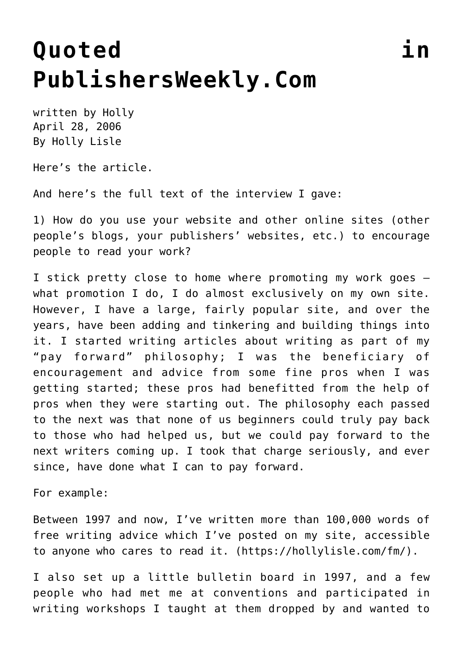## **[Quoted in](https://hollylisle.com/quoted-in-publishersweeklycom/) [PublishersWeekly.Com](https://hollylisle.com/quoted-in-publishersweeklycom/)**

written by Holly April 28, 2006 [By Holly Lisle](https://hollylisle.com)

[Here's the article.](http://www.publishersweekly.com/article/CA6328436.html)

And here's the full text of the interview I gave:

1) How do you use your website and other online sites (other people's blogs, your publishers' websites, etc.) to encourage people to read your work?

I stick pretty close to home where promoting my work goes what promotion I do, I do almost exclusively on my own site. However, I have a large, fairly popular site, and over the years, have been adding and tinkering and building things into it. I started writing articles about writing as part of my "pay forward" philosophy; I was the beneficiary of encouragement and advice from some fine pros when I was getting started; these pros had benefitted from the help of pros when they were starting out. The philosophy each passed to the next was that none of us beginners could truly pay back to those who had helped us, but we could pay forward to the next writers coming up. I took that charge seriously, and ever since, have done what I can to pay forward.

For example:

Between 1997 and now, I've written more than 100,000 words of free writing advice which I've posted on my site, accessible to anyone who cares to read it. (<https://hollylisle.com/fm/>).

I also set up a little bulletin board in 1997, and a few people who had met me at conventions and participated in writing workshops I taught at them dropped by and wanted to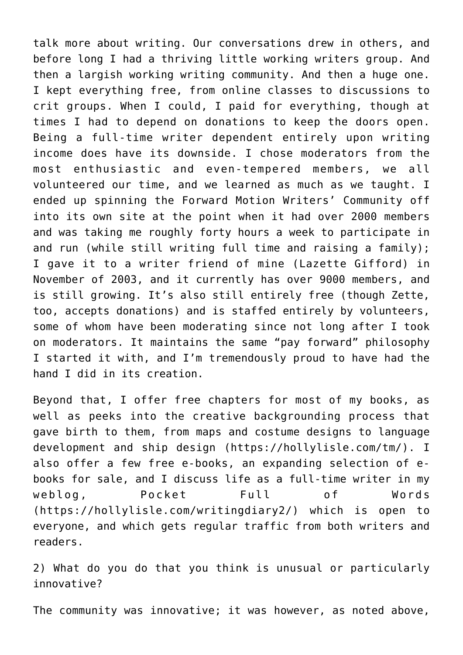talk more about writing. Our conversations drew in others, and before long I had a thriving little working writers group. And then a largish working writing community. And then a huge one. I kept everything free, from online classes to discussions to crit groups. When I could, I paid for everything, though at times I had to depend on donations to keep the doors open. Being a full-time writer dependent entirely upon writing income does have its downside. I chose moderators from the most enthusiastic and even-tempered members, we all volunteered our time, and we learned as much as we taught. I ended up spinning the Forward Motion Writers' Community off into its own site at the point when it had over 2000 members and was taking me roughly forty hours a week to participate in and run (while still writing full time and raising a family); I gave it to a writer friend of mine (Lazette Gifford) in November of 2003, and it currently has over 9000 members, and is still growing. It's also still entirely free (though Zette, too, accepts donations) and is staffed entirely by volunteers, some of whom have been moderating since not long after I took on moderators. It maintains the same "pay forward" philosophy I started it with, and I'm tremendously proud to have had the hand I did in its creation.

Beyond that, I offer free chapters for most of my books, as well as peeks into the creative backgrounding process that gave birth to them, from maps and costume designs to language development and ship design (<https://hollylisle.com/tm/>). I also offer a few free e-books, an expanding selection of ebooks for sale, and I discuss life as a full-time writer in my weblog, Pocket Full of Words ([https://hollylisle.com/writingdiary2/\)](https://hollylisle.com/writingdiary2/) which is open to everyone, and which gets regular traffic from both writers and readers.

2) What do you do that you think is unusual or particularly innovative?

The community was innovative; it was however, as noted above,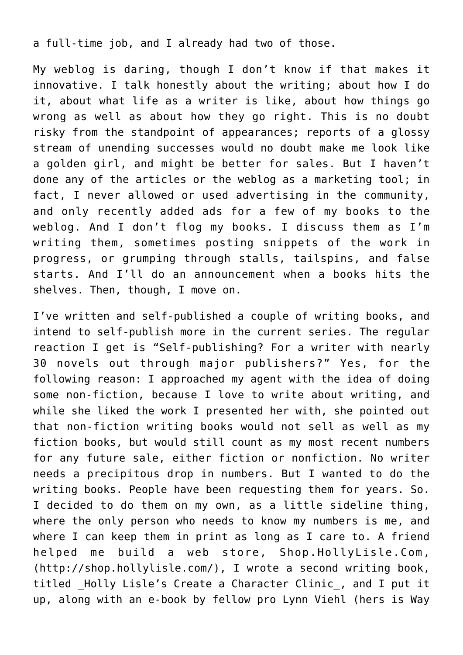a full-time job, and I already had two of those.

My weblog is daring, though I don't know if that makes it innovative. I talk honestly about the writing; about how I do it, about what life as a writer is like, about how things go wrong as well as about how they go right. This is no doubt risky from the standpoint of appearances; reports of a glossy stream of unending successes would no doubt make me look like a golden girl, and might be better for sales. But I haven't done any of the articles or the weblog as a marketing tool; in fact, I never allowed or used advertising in the community, and only recently added ads for a few of my books to the weblog. And I don't flog my books. I discuss them as I'm writing them, sometimes posting snippets of the work in progress, or grumping through stalls, tailspins, and false starts. And I'll do an announcement when a books hits the shelves. Then, though, I move on.

I've written and self-published a couple of writing books, and intend to self-publish more in the current series. The regular reaction I get is "Self-publishing? For a writer with nearly 30 novels out through major publishers?" Yes, for the following reason: I approached my agent with the idea of doing some non-fiction, because I love to write about writing, and while she liked the work I presented her with, she pointed out that non-fiction writing books would not sell as well as my fiction books, but would still count as my most recent numbers for any future sale, either fiction or nonfiction. No writer needs a precipitous drop in numbers. But I wanted to do the writing books. People have been requesting them for years. So. I decided to do them on my own, as a little sideline thing, where the only person who needs to know my numbers is me, and where I can keep them in print as long as I care to. A friend helped me build a web store, Shop.HollyLisle.Com, ([http://shop.hollylisle.com/\)](http://shop.hollylisle.com/), I wrote a second writing book, titled Holly Lisle's Create a Character Clinic, and I put it up, along with an e-book by fellow pro Lynn Viehl (hers is Way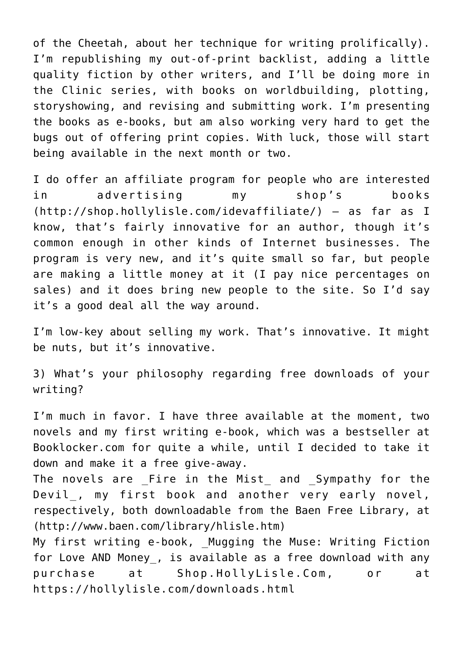of the Cheetah, about her technique for writing prolifically). I'm republishing my out-of-print backlist, adding a little quality fiction by other writers, and I'll be doing more in the Clinic series, with books on worldbuilding, plotting, storyshowing, and revising and submitting work. I'm presenting the books as e-books, but am also working very hard to get the bugs out of offering print copies. With luck, those will start being available in the next month or two.

I do offer an affiliate program for people who are interested in advertising my shop's books (<http://shop.hollylisle.com/idevaffiliate/>) — as far as I know, that's fairly innovative for an author, though it's common enough in other kinds of Internet businesses. The program is very new, and it's quite small so far, but people are making a little money at it (I pay nice percentages on sales) and it does bring new people to the site. So I'd say it's a good deal all the way around.

I'm low-key about selling my work. That's innovative. It might be nuts, but it's innovative.

3) What's your philosophy regarding free downloads of your writing?

I'm much in favor. I have three available at the moment, two novels and my first writing e-book, which was a bestseller at Booklocker.com for quite a while, until I decided to take it down and make it a free give-away.

The novels are \_Fire in the Mist\_ and \_Sympathy for the Devil, my first book and another very early novel, respectively, both downloadable from the Baen Free Library, at (<http://www.baen.com/library/hlisle.htm>)

My first writing e-book, Mugging the Muse: Writing Fiction for Love AND Money, is available as a free download with any purchase at Shop.HollyLisle.Com, or at <https://hollylisle.com/downloads.html>